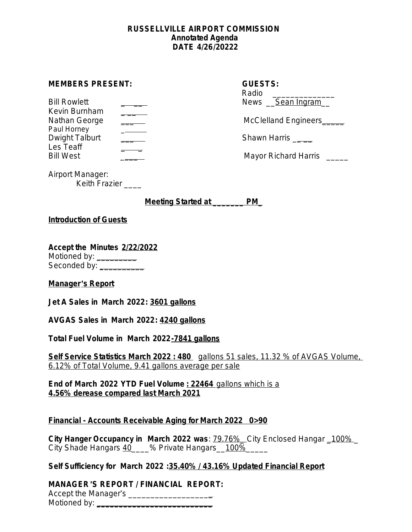### **RUSSELLVILLE AIRPORT COMMISSION Annotated Agenda DATE 4/26/20222**

#### **MEMBERS PRESENT:**

| <b>Bill Rowlett</b>   | News Sean Ingram      |
|-----------------------|-----------------------|
| Kevin Burnham         |                       |
| Nathan George         | McClelland Engineers_ |
| Paul Horney           |                       |
| Dwight Talburt        | Shawn Harris          |
| Les Teaff             |                       |
| $RIII$ $M$ $\alpha$ t | Mayor Dichard Harric  |

| <b>GUESTS:</b><br>Radio<br>News Sean Ingram |
|---------------------------------------------|
| McClelland Engineers_                       |
| <b>Shawn Harris</b>                         |

Bill West \_\_\_\_ Mayor Richard Harris \_\_\_\_\_

Airport Manager: Keith Frazier \_\_\_\_

**Meeting Started at \_\_\_\_\_\_\_ PM\_**

### **Introduction of Guests**

**Accept the Minutes 2/22/2022** Motioned by: \_\_\_\_\_\_\_\_\_\_ Seconded by: **\_**\_\_\_\_\_\_\_\_\_

# **Manager**'**s Report**

**Jet A Sales in March 2022: 3601 gallons**

**AVGAS Sales in March 2022: 4240 gallons**

**Total Fuel Volume in March 2022-7841 gallons**

**Self Service Statistics March 2022 : 480** gallons 51 sales, 11.32 % of AVGAS Volume, 6.12% of Total Volume, 9.41 gallons average per sale

**End of March 2022 YTD Fuel Volume : 22464** gallons which is a **4.56% derease compared last March 2021**

# **Financial - Accounts Receivable Aging for March 2022 0>90**

**City Hanger Occupancy in March 2022 was**: 79.76%\_ City Enclosed Hangar \_100% \_ City Shade Hangars 40 \_\_\_% Private Hangars 100%\_\_\_\_

**Self Sufficiency for March 2022 :35.40% / 43.16% Updated Financial Report**

**MANAGER**'**S REPORT / FINANCIAL REPORT:**

Accept the Manager's \_\_\_\_\_\_\_\_\_\_\_\_\_\_\_\_\_\_\_ Motioned by: **with a set of the set of the set of the set of the set of the set of the set of the set of the set of the set of the set of the set of the set of the set of the set of the set of the set of the set of the set**